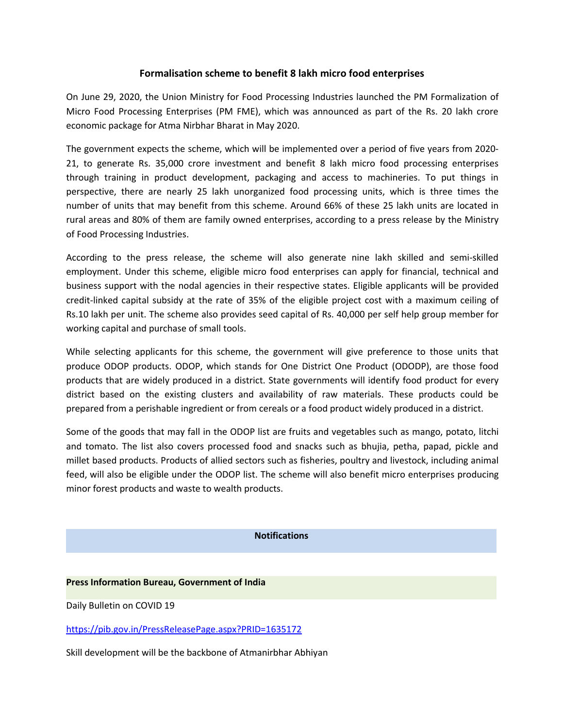## **Formalisation scheme to benefit 8 lakh micro food enterprises**

On June 29, 2020, the Union Ministry for Food Processing Industries launched the PM Formalization of Micro Food Processing Enterprises (PM FME), which was announced as part of the Rs. 20 lakh crore economic package for Atma Nirbhar Bharat in May 2020.

The government expects the scheme, which will be implemented over a period of five years from 2020- 21, to generate Rs. 35,000 crore investment and benefit 8 lakh micro food processing enterprises through training in product development, packaging and access to machineries. To put things in perspective, there are nearly 25 lakh unorganized food processing units, which is three times the number of units that may benefit from this scheme. Around 66% of these 25 lakh units are located in rural areas and 80% of them are family owned enterprises, according to a press release by the Ministry of Food Processing Industries.

According to the press release, the scheme will also generate nine lakh skilled and semi-skilled employment. Under this scheme, eligible micro food enterprises can apply for financial, technical and business support with the nodal agencies in their respective states. Eligible applicants will be provided credit-linked capital subsidy at the rate of 35% of the eligible project cost with amaximum ceiling of Rs.10 lakh per unit. The scheme also provides seed capital of Rs. 40,000 per self help group member for working capital and purchase of small tools.

While selecting applicants for this scheme, the government will give preference to those units that produce ODOP products. ODOP, which stands for One District One Product (ODODP), are those food products that are widely produced in a district. State governments will identify food product for every district based on the existing clusters and availability of raw materials. These products could be prepared from a perishable ingredient or from cereals or a food product widely produced in a district.

Some of the goods that may fall in the ODOP list are fruits and vegetables such as mango, potato, litchi and tomato. The list also covers processed food and snacks such as bhujia, petha, papad, pickle and millet based products. Products of allied sectors such as fisheries, poultry and livestock, including animal feed, will also be eligible under the ODOP list. The scheme will also benefit micro enterprises producing minor forest products and waste to wealth products.

## **Notifications**

## **Press Information Bureau, Government of India**

Daily Bulletin on COVID 19

<https://pib.gov.in/PressReleasePage.aspx?PRID=1635172>

Skill development will be the backbone of Atmanirbhar Abhiyan